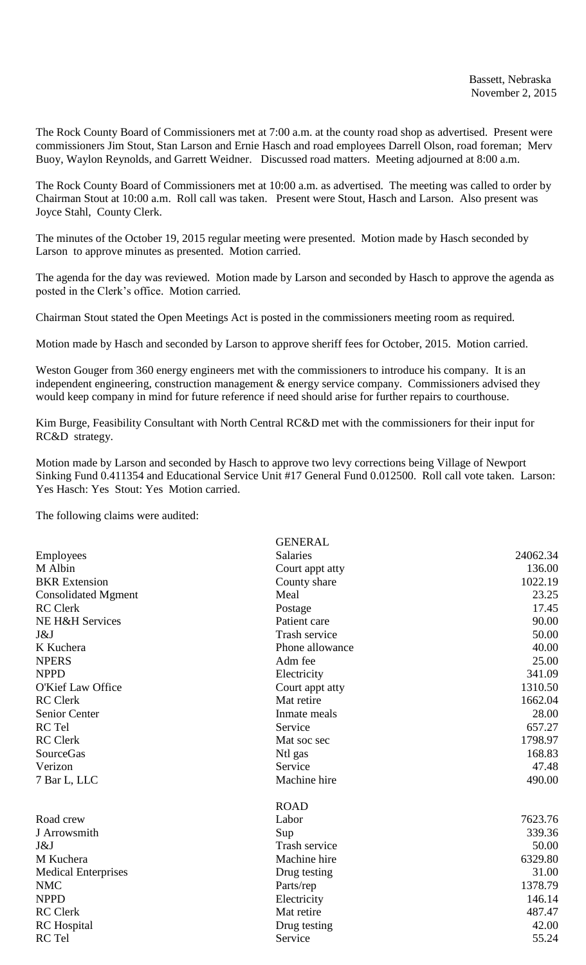The Rock County Board of Commissioners met at 7:00 a.m. at the county road shop as advertised. Present were commissioners Jim Stout, Stan Larson and Ernie Hasch and road employees Darrell Olson, road foreman; Merv Buoy, Waylon Reynolds, and Garrett Weidner. Discussed road matters. Meeting adjourned at 8:00 a.m.

The Rock County Board of Commissioners met at 10:00 a.m. as advertised. The meeting was called to order by Chairman Stout at 10:00 a.m. Roll call was taken. Present were Stout, Hasch and Larson. Also present was Joyce Stahl, County Clerk.

The minutes of the October 19, 2015 regular meeting were presented. Motion made by Hasch seconded by Larson to approve minutes as presented. Motion carried.

The agenda for the day was reviewed. Motion made by Larson and seconded by Hasch to approve the agenda as posted in the Clerk's office. Motion carried.

Chairman Stout stated the Open Meetings Act is posted in the commissioners meeting room as required.

Motion made by Hasch and seconded by Larson to approve sheriff fees for October, 2015. Motion carried.

Weston Gouger from 360 energy engineers met with the commissioners to introduce his company. It is an independent engineering, construction management & energy service company. Commissioners advised they would keep company in mind for future reference if need should arise for further repairs to courthouse.

Kim Burge, Feasibility Consultant with North Central RC&D met with the commissioners for their input for RC&D strategy.

Motion made by Larson and seconded by Hasch to approve two levy corrections being Village of Newport Sinking Fund 0.411354 and Educational Service Unit #17 General Fund 0.012500. Roll call vote taken. Larson: Yes Hasch: Yes Stout: Yes Motion carried.

The following claims were audited:

| <b>GENERAL</b>  |          |
|-----------------|----------|
| <b>Salaries</b> | 24062.34 |
| Court appt atty | 136.00   |
| County share    | 1022.19  |
| Meal            | 23.25    |
| Postage         | 17.45    |
| Patient care    | 90.00    |
| Trash service   | 50.00    |
| Phone allowance | 40.00    |
| Adm fee         | 25.00    |
| Electricity     | 341.09   |
| Court appt atty | 1310.50  |
| Mat retire      | 1662.04  |
| Inmate meals    | 28.00    |
| Service         | 657.27   |
| Mat soc sec     | 1798.97  |
|                 | 168.83   |
| Service         | 47.48    |
| Machine hire    | 490.00   |
| <b>ROAD</b>     |          |
| Labor           | 7623.76  |
| Sup             | 339.36   |
| Trash service   | 50.00    |
| Machine hire    | 6329.80  |
| Drug testing    | 31.00    |
| Parts/rep       | 1378.79  |
| Electricity     | 146.14   |
| Mat retire      | 487.47   |
| Drug testing    | 42.00    |
| Service         | 55.24    |
|                 | Ntl gas  |